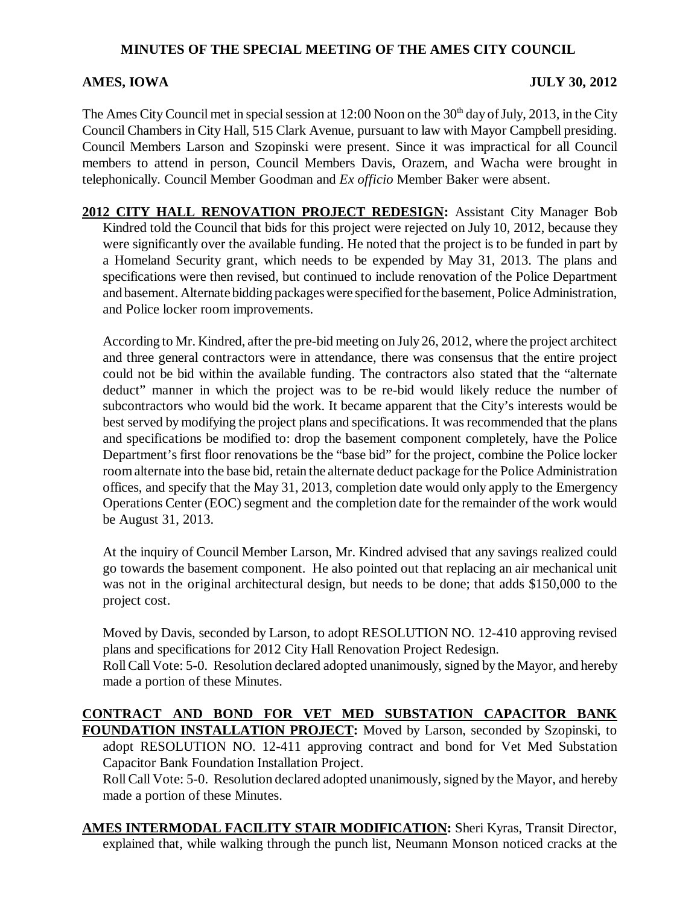## **MINUTES OF THE SPECIAL MEETING OF THE AMES CITY COUNCIL**

## **AMES, IOWA** JULY 30, 2012

The Ames City Council met in special session at 12:00 Noon on the 30<sup>th</sup> day of July, 2013, in the City Council Chambers in City Hall, 515 Clark Avenue, pursuant to law with Mayor Campbell presiding. Council Members Larson and Szopinski were present. Since it was impractical for all Council members to attend in person, Council Members Davis, Orazem, and Wacha were brought in telephonically. Council Member Goodman and *Ex officio* Member Baker were absent.

**2012 CITY HALL RENOVATION PROJECT REDESIGN:** Assistant City Manager Bob Kindred told the Council that bids for this project were rejected on July 10, 2012, because they were significantly over the available funding. He noted that the project is to be funded in part by a Homeland Security grant, which needs to be expended by May 31, 2013. The plans and specifications were then revised, but continued to include renovation of the Police Department and basement. Alternate bidding packages were specified for the basement, Police Administration, and Police locker room improvements.

According to Mr. Kindred, after the pre-bid meeting on July 26, 2012, where the project architect and three general contractors were in attendance, there was consensus that the entire project could not be bid within the available funding. The contractors also stated that the "alternate deduct" manner in which the project was to be re-bid would likely reduce the number of subcontractors who would bid the work. It became apparent that the City's interests would be best served by modifying the project plans and specifications. It was recommended that the plans and specifications be modified to: drop the basement component completely, have the Police Department's first floor renovations be the "base bid" for the project, combine the Police locker room alternate into the base bid, retain the alternate deduct package for the Police Administration offices, and specify that the May 31, 2013, completion date would only apply to the Emergency Operations Center (EOC) segment and the completion date for the remainder of the work would be August 31, 2013.

At the inquiry of Council Member Larson, Mr. Kindred advised that any savings realized could go towards the basement component. He also pointed out that replacing an air mechanical unit was not in the original architectural design, but needs to be done; that adds \$150,000 to the project cost.

Moved by Davis, seconded by Larson, to adopt RESOLUTION NO. 12-410 approving revised plans and specifications for 2012 City Hall Renovation Project Redesign.

Roll Call Vote: 5-0. Resolution declared adopted unanimously, signed by the Mayor, and hereby made a portion of these Minutes.

## **CONTRACT AND BOND FOR VET MED SUBSTATION CAPACITOR BANK FOUNDATION INSTALLATION PROJECT:** Moved by Larson, seconded by Szopinski, to

adopt RESOLUTION NO. 12-411 approving contract and bond for Vet Med Substation Capacitor Bank Foundation Installation Project.

Roll Call Vote: 5-0. Resolution declared adopted unanimously, signed by the Mayor, and hereby made a portion of these Minutes.

**AMES INTERMODAL FACILITY STAIR MODIFICATION:** Sheri Kyras, Transit Director, explained that, while walking through the punch list, Neumann Monson noticed cracks at the